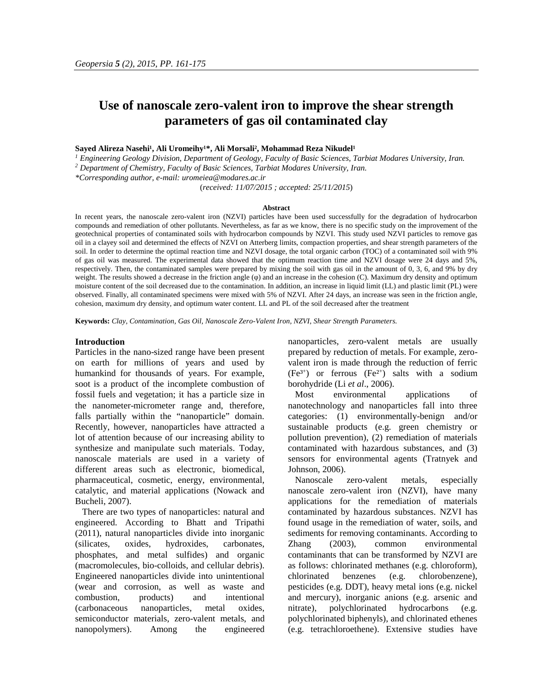# **Use of nanoscale zero-valent iron to improve the shear strength parameters of gas oil contaminated clay**

# Sayed Alireza Nasehi<sup>1</sup>, Ali Uromeihy<sup>1\*</sup>, Ali Morsali<sup>2</sup>, Mohammad Reza Nikudel<sup>1</sup>

*<sup>1</sup> Engineering Geology Division, Department of Geology, Faculty of Basic Sciences, Tarbiat Modares University, Iran.*

*<sup>2</sup> Department of Chemistry, Faculty of Basic Sciences, Tarbiat Modares University, Iran.*

*\*Corresponding author, e-mail: uromeiea@modares.ac.ir*

(*received: 11/07/2015 ; accepted: 25/11/2015*)

#### **Abstract**

In recent years, the nanoscale zero-valent iron (NZVI) particles have been used successfully for the degradation of hydrocarbon compounds and remediation of other pollutants. Nevertheless, as far as we know, there is no specific study on the improvement of the geotechnical properties of contaminated soils with hydrocarbon compounds by NZVI. This study used NZVI particles to remove gas oil in a clayey soil and determined the effects of NZVI on Atterberg limits, compaction properties, and shear strength parameters of the soil. In order to determine the optimal reaction time and NZVI dosage, the total organic carbon (TOC) of a contaminated soil with 9% of gas oil was measured. The experimental data showed that the optimum reaction time and NZVI dosage were 24 days and 5%, respectively. Then, the contaminated samples were prepared by mixing the soil with gas oil in the amount of 0, 3, 6, and 9% by dry weight. The results showed a decrease in the friction angle () and an increase in the cohesion (C). Maximum dry density and optimum moisture content of the soil decreased due to the contamination. In addition, an increase in liquid limit (LL) and plastic limit (PL) were observed. Finally, all contaminated specimens were mixed with 5% of NZVI. After 24 days, an increase was seen in the friction angle, cohesion, maximum dry density, and optimum water content. LL and PL of the soil decreased after the treatment

**Keywords:** *Clay, Contamination, Gas Oil, Nanoscale Zero-Valent Iron, NZVI, Shear Strength Parameters.*

## **Introduction**

Particles in the nano-sized range have been present on earth for millions of years and used by humankind for thousands of years. For example, soot is a product of the incomplete combustion of fossil fuels and vegetation; it has a particle size in the nanometer-micrometer range and, therefore, falls partially within the "nanoparticle" domain. Recently, however, nanoparticles have attracted a lot of attention because of our increasing ability to synthesize and manipulate such materials. Today, nanoscale materials are used in a variety of different areas such as electronic, biomedical, pharmaceutical, cosmetic, energy, environmental, catalytic, and material applications (Nowack and Bucheli, 2007).

There are two types of nanoparticles: natural and engineered. According to Bhatt and Tripathi (2011), natural nanoparticles divide into inorganic (silicates, oxides, hydroxides, carbonates, phosphates, and metal sulfides) and organic (macromolecules, bio-colloids, and cellular debris). Engineered nanoparticles divide into unintentional (wear and corrosion, as well as waste and combustion, products) and intentional (carbonaceous nanoparticles, metal oxides, semiconductor materials, zero-valent metals, and nanopolymers). Among the engineered nanoparticles, zero-valent metals are usually prepared by reduction of metals. For example, zero valent iron is made through the reduction of ferric  $(Fe^{3+})$  or ferrous  $(Fe^{2+})$  salts with a sodium borohydride (Li *et al*., 2006).

environmental applications of nanotechnology and nanoparticles fall into three categories: (1) environmentally-benign and/or sustainable products (e.g. green chemistry or pollution prevention), (2) remediation of materials contaminated with hazardous substances, and (3) sensors for environmental agents (Tratnyek and Johnson, 2006).

Nanoscale zero-valent metals, especially nanoscale zero-valent iron (NZVI), have many applications for the remediation of materials contaminated by hazardous substances. NZVI has found usage in the remediation of water, soils, and sediments for removing contaminants. According to Zhang (2003), common environmental contaminants that can be transformed by NZVI are as follows: chlorinated methanes (e.g. chloroform), chlorinated benzenes (e.g. chlorobenzene), pesticides (e.g. DDT), heavy metal ions (e.g. nickel and mercury), inorganic anions (e.g. arsenic and nitrate), polychlorinated hydrocarbons (e.g. polychlorinated biphenyls), and chlorinated ethenes (e.g. tetrachloroethene). Extensive studies have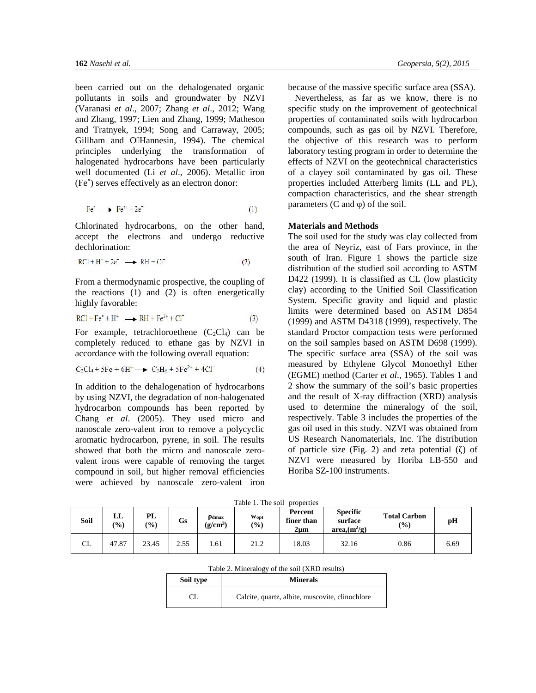been carried out on the dehalogenated organic pollutants in soils and groundwater by NZVI (Varanasi *et al*., 2007; Zhang *et al*., 2012; Wang and Zhang, 1997; Lien and Zhang, 1999; Matheson and Tratnyek, 1994; Song and Carraway, 2005; Gillham and O Hannesin, 1994). The chemical principles underlying the transformation of halogenated hydrocarbons have been particularly well documented (Li *et al*., 2006). Metallic iron (Fe˚) serves effectively as an electron donor:

$$
\text{Fe}^{\circ} \longrightarrow \text{Fe}^{2+}2\text{e}^{\circ} \tag{1}
$$

Chlorinated hydrocarbons, on the other hand, accept the electrons and undergo reductive dechlorination:

$$
RCI + H^{+} + 2e^{-} \longrightarrow RH + Cl^{-}
$$
 (2)

From a thermodynamic prospective, the coupling of the reactions (1) and (2) is often energetically highly favorable:

$$
RCl + Fe^* + H^* \longrightarrow RH + Fe^{2+} + Cl^* \tag{3}
$$

For example, tetrachloroethene  $(C_2Cl_4)$  can be completely reduced to ethane gas by NZVI in accordance with the following overall equation:

$$
C_2Cl_4 + 5Fe + 6H^+ \longrightarrow C_2H_6 + 5Fe^{2+} + 4Cl^-
$$
 (4)

In addition to the dehalogenation of hydrocarbons by using NZVI, the degradation of non-halogenated hydrocarbon compounds has been reported by Chang *et al*. (2005). They used micro and nanoscale zero-valent iron to remove a polycyclic aromatic hydrocarbon, pyrene, in soil. The results showed that both the micro and nanoscale zero valent irons were capable of removing the target compound in soil, but higher removal efficiencies were achieved by nanoscale zero-valent iron because of the massive specific surface area (SSA).

Nevertheless, as far as we know, there is no specific study on the improvement of geotechnical properties of contaminated soils with hydrocarbon compounds, such as gas oil by NZVI. Therefore, the objective of this research was to perform laboratory testing program in order to determine the effects of NZVI on the geotechnical characteristics of a clayey soil contaminated by gas oil. These properties included Atterberg limits (LL and PL), compaction characteristics, and the shear strength parameters  $(C \text{ and } )$  of the soil.

## **Materials and Methods**

The soil used for the study was clay collected from the area of Neyriz, east of Fars province, in the south of Iran. Figure 1 shows the particle size distribution of the studied soil according to ASTM D422 (1999). It is classified as CL (low plasticity clay) according to the Unified Soil Classification System. Specific gravity and liquid and plastic limits were determined based on ASTM D854 (1999) and ASTM D4318 (1999), respectively. The standard Proctor compaction tests were performed on the soil samples based on ASTM D698 (1999). The specific surface area (SSA) of the soil was measured by Ethylene Glycol Monoethyl Ether (EGME) method (Carter *et al*., 1965). Tables 1 and 2 show the summary of the soil's basic properties and the result of X-ray diffraction (XRD) analysis used to determine the mineralogy of the soil, respectively. Table 3 includes the properties of the gas oil used in this study. NZVI was obtained from US Research Nanomaterials, Inc. The distribution of particle size (Fig. 2) and zeta potential  $($  ) of NZVI were measured by Horiba LB-550 and Horiba SZ-100 instruments.

Table 1. The soil properties

| Soil          | பட<br>(0/0) | PL<br>(9/0) | Gs   | dmax<br>(g/cm <sup>3</sup> ) | Wopt<br>(0/0) | Percent<br>finer than<br>2um | <b>Specific</b><br>surface<br>$area, (m^2/g)$ | <b>Total Carbon</b><br>(%) | pН   |
|---------------|-------------|-------------|------|------------------------------|---------------|------------------------------|-----------------------------------------------|----------------------------|------|
| $\sim$ T<br>ഄ | 47.87       | 23.45       | 2.55 | l .61                        | 21.2          | 18.03                        | 32.16                                         | 0.86                       | 6.69 |

| Table 2. Mineralogy of the soil (XRD results) |  |
|-----------------------------------------------|--|
|-----------------------------------------------|--|

| Soil type | <b>Minerals</b>                                 |
|-----------|-------------------------------------------------|
|           | Calcite, quartz, albite, muscovite, clinochlore |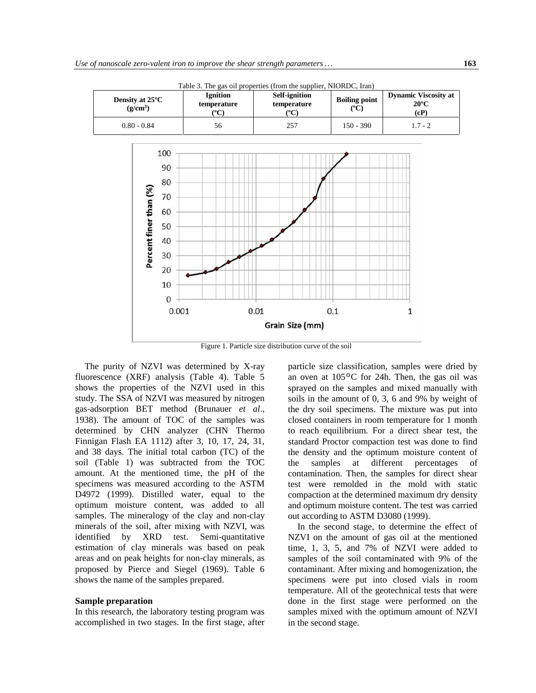

Table 3. The gas oil properties (from the supplier, NIORDC, Iran)

Figure 1. Particle size distribution curve of the soil

The purity of NZVI was determined by X-ray fluorescence (XRF) analysis (Table 4). Table 5 shows the properties of the NZVI used in this study. The SSA of NZVI was measured by nitrogen gas-adsorption BET method (Brunauer *et al*., 1938). The amount of TOC of the samples was determined by CHN analyzer (CHN Thermo Finnigan Flash EA 1112) after 3, 10, 17, 24, 31, and 38 days. The initial total carbon (TC) of the soil (Table 1) was subtracted from the TOC amount. At the mentioned time, the pH of the specimens was measured according to the ASTM D4972 (1999). Distilled water, equal to the optimum moisture content, was added to all samples. The mineralogy of the clay and non-clay minerals of the soil, after mixing with NZVI, was identified by XRD test. Semi-quantitative estimation of clay minerals was based on peak areas and on peak heights for non-clay minerals, as proposed by Pierce and Siegel (1969). Table 6 shows the name of the samples prepared.

# **Sample preparation**

In this research, the laboratory testing program was accomplished in two stages. In the first stage, after particle size classification, samples were dried by an oven at 105ºC for 24h. Then, the gas oil was sprayed on the samples and mixed manually with soils in the amount of 0, 3, 6 and 9% by weight of the dry soil specimens. The mixture was put into closed containers in room temperature for 1 month to reach equilibrium. For a direct shear test, the standard Proctor compaction test was done to find the density and the optimum moisture content of at different percentages of contamination. Then, the samples for direct shear test were remolded in the mold with static compaction at the determined maximum dry density and optimum moisture content. The test was carried out according to ASTM D3080 (1999).

In the second stage, to determine the effect of NZVI on the amount of gas oil at the mentioned time, 1, 3, 5, and 7% of NZVI were added to samples of the soil contaminated with 9% of the contaminant. After mixing and homogenization, the specimens were put into closed vials in room temperature. All of the geotechnical tests that were done in the first stage were performed on the samples mixed with the optimum amount of NZVI in the second stage.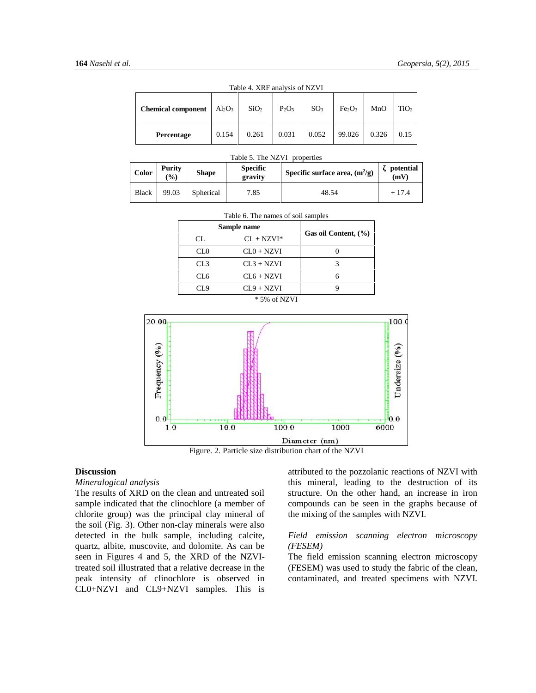| <b>Chemical component</b> | $Al_2O_3$ | Table 4. ARF analysis of NZVI<br>SiO <sub>2</sub> | P <sub>2</sub> O <sub>5</sub> | SO <sub>3</sub> | Fe <sub>2</sub> O <sub>3</sub> | MnO   | TiO <sub>2</sub> |
|---------------------------|-----------|---------------------------------------------------|-------------------------------|-----------------|--------------------------------|-------|------------------|
| Percentage                | 0.154     | 0.261                                             | 0.031                         | 0.052           | 99.026                         | 0.326 | 0.15             |

Table 4. XRF analysis of NZVI

Table 5. The NZVI properties

| Color        | <b>Purity</b><br>$($ %) | <b>Specific</b><br><b>Shape</b><br>gravity |      | Specific surface area, $(m^2/g)$ | potential<br>(mV) |
|--------------|-------------------------|--------------------------------------------|------|----------------------------------|-------------------|
| <b>Black</b> | 99.03                   | Spherical                                  | 7.85 | 48.54                            | $+17.4$           |

| Sample name  | Gas oil Content, (%) |  |  |
|--------------|----------------------|--|--|
| $CL + NZVI*$ |                      |  |  |
| $CL0 + NZVI$ |                      |  |  |
| $CL3 + NZVI$ |                      |  |  |
| $CL6 + NZVI$ |                      |  |  |
| $CL9 + NZVI$ |                      |  |  |
|              | $*$ 5% of            |  |  |

#### $T$  and  $T = 6.$  The names of solid samples of samples of samples of samples of samples  $T$



Figure. 2. Particle size distribution chart of the NZVI

# **Discussion**

#### *Mineralogical analysis*

The results of XRD on the clean and untreated soil sample indicated that the clinochlore (a member of chlorite group) was the principal clay mineral of the soil (Fig. 3). Other non-clay minerals were also detected in the bulk sample, including calcite, quartz, albite, muscovite, and dolomite. As can be seen in Figures 4 and 5, the XRD of the NZVItreated soil illustrated that a relative decrease in the peak intensity of clinochlore is observed in CL0+NZVI and CL9+NZVI samples. This is attributed to the pozzolanic reactions of NZVI with this mineral, leading to the destruction of its structure. On the other hand, an increase in iron compounds can be seen in the graphs because of the mixing of the samples with NZVI.

## *Field emission scanning electron microscopy (FESEM)*

The field emission scanning electron microscopy (FESEM) was used to study the fabric of the clean, contaminated, and treated specimens with NZVI.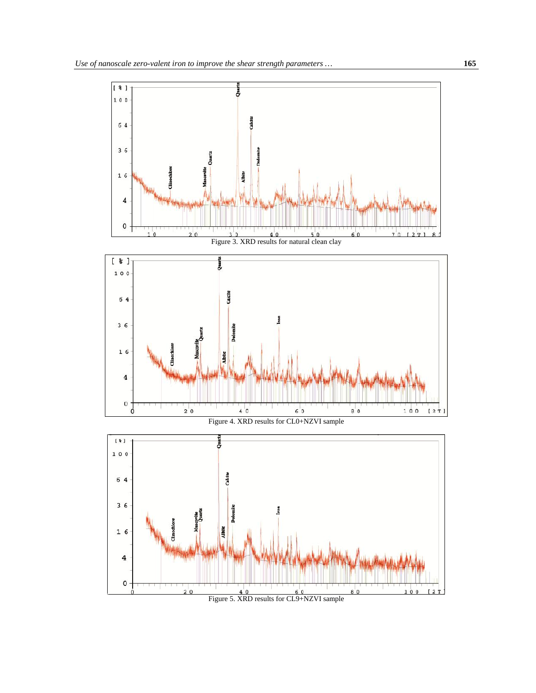

Figure 5. XRD results for CL9+NZVI sample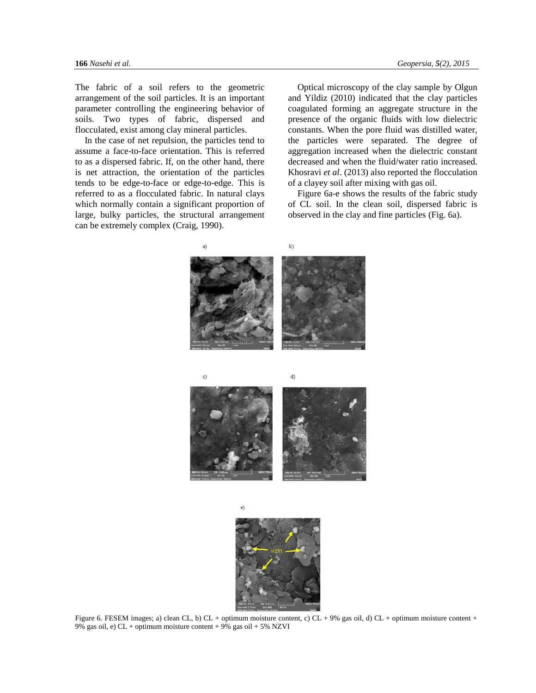The fabric of a soil refers to the geometric arrangement of the soil particles. It is an important parameter controlling the engineering behavior of soils. Two types of fabric, dispersed and flocculated, exist among clay mineral particles.

In the case of net repulsion, the particles tend to assume a face-to-face orientation. This is referred to as a dispersed fabric. If, on the other hand, there is net attraction, the orientation of the particles tends to be edge-to-face or edge-to-edge. This is referred to as a flocculated fabric. In natural clays which normally contain a significant proportion of large, bulky particles, the structural arrangement can be extremely complex (Craig, 1990).

Optical microscopy of the clay sample by Olgun and Yildiz (2010) indicated that the clay particles coagulated forming an aggregate structure in the presence of the organic fluids with low dielectric constants. When the pore fluid was distilled water, the particles were separated. The degree of aggregation increased when the dielectric constant decreased and when the fluid/water ratio increased. Khosravi *et al*. (2013) also reported the flocculation of a clayey soil after mixing with gas oil.

Figure 6a-e shows the results of the fabric study of CL soil. In the clean soil, dispersed fabric is observed in the clay and fine particles (Fig. 6a).





Figure 6. FESEM images; a) clean CL, b) CL + optimum moisture content, c) CL + 9% gas oil, d) CL + optimum moisture content + 9% gas oil, e) CL + optimum moisture content + 9% gas oil + 5% NZVI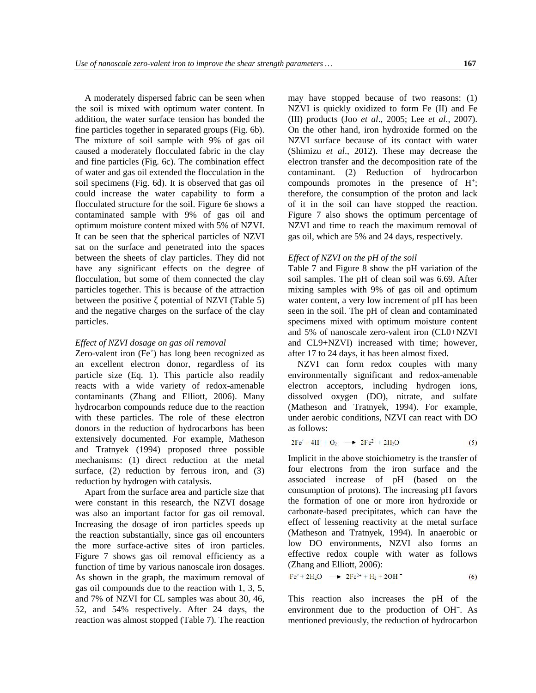A moderately dispersed fabric can be seen when the soil is mixed with optimum water content. In addition, the water surface tension has bonded the fine particles together in separated groups (Fig. 6b). The mixture of soil sample with 9% of gas oil caused a moderately flocculated fabric in the clay and fine particles (Fig. 6c). The combination effect of water and gas oil extended the flocculation in the soil specimens (Fig. 6d). It is observed that gas oil could increase the water capability to form a flocculated structure for the soil. Figure 6e shows a contaminated sample with 9% of gas oil and optimum moisture content mixed with 5% of NZVI. It can be seen that the spherical particles of NZVI sat on the surface and penetrated into the spaces between the sheets of clay particles. They did not have any significant effects on the degree of flocculation, but some of them connected the clay particles together. This is because of the attraction between the positive potential of NZVI (Table 5) and the negative charges on the surface of the clay particles.

# *Effect of NZVI dosage on gas oil removal*

Zero-valent iron (Fe˚) has long been recognized as an excellent electron donor, regardless of its particle size (Eq. 1). This particle also readily reacts with a wide variety of redox-amenable contaminants (Zhang and Elliott, 2006). Many hydrocarbon compounds reduce due to the reaction with these particles. The role of these electron donors in the reduction of hydrocarbons has been extensively documented. For example, Matheson and Tratnyek (1994) proposed three possible mechanisms: (1) direct reduction at the metal surface,  $(2)$  reduction by ferrous iron, and  $(3)$ reduction by hydrogen with catalysis.

Apart from the surface area and particle size that were constant in this research, the NZVI dosage was also an important factor for gas oil removal. Increasing the dosage of iron particles speeds up the reaction substantially, since gas oil encounters the more surface-active sites of iron particles. Figure 7 shows gas oil removal efficiency as a function of time by various nanoscale iron dosages. As shown in the graph, the maximum removal of gas oil compounds due to the reaction with 1, 3, 5, and 7% of NZVI for CL samples was about 30, 46, 52, and 54% respectively. After 24 days, the reaction was almost stopped (Table 7). The reaction may have stopped because of two reasons: (1) NZVI is quickly oxidized to form Fe () and Fe () products (Joo *et al.*, 2005; Lee *et al.*, 2007). On the other hand, iron hydroxide formed on the NZVI surface because of its contact with water (Shimizu *et al*., 2012). These may decrease the electron transfer and the decomposition rate of the contaminant. (2) Reduction of hydrocarbon compounds promotes in the presence of H<sup>+</sup>; therefore, the consumption of the proton and lack of it in the soil can have stopped the reaction. Figure 7 also shows the optimum percentage of NZVI and time to reach the maximum removal of gas oil, which are 5% and 24 days, respectively.

## *Effect of NZVI on the pH of the soil*

Table 7 and Figure 8 show the pH variation of the soil samples. The pH of clean soil was 6.69. After mixing samples with 9% of gas oil and optimum water content, a very low increment of pH has been seen in the soil. The pH of clean and contaminated specimens mixed with optimum moisture content and 5% of nanoscale zero-valent iron (CL0+NZVI and CL9+NZVI) increased with time; however, after 17 to 24 days, it has been almost fixed.

NZVI can form redox couples with many environmentally significant and redox-amenable electron acceptors, including hydrogen ions, dissolved oxygen (DO), nitrate, and sulfate (Matheson and Tratnyek, 1994). For example, under aerobic conditions, NZVI can react with DO as follows:

$$
2\Gamma e^{\alpha} + 4\Pi^{+} + O_{2} \longrightarrow 2\Gamma e^{2+} + 2\Pi_{2}O
$$
 (5)

Implicit in the above stoichiometry is the transfer of four electrons from the iron surface and the associated increase of pH (based on the consumption of protons). The increasing pH favors the formation of one or more iron hydroxide or carbonate-based precipitates, which can have the effect of lessening reactivity at the metal surface (Matheson and Tratnyek, 1994). In anaerobic or low DO environments, NZVI also forms an effective redox couple with water as follows (Zhang and Elliott, 2006):

$$
Feo + 2H2O \longrightarrow 2Fe2+ + H2 + 2OH
$$
 (6)

This reaction also increases the pH of the environment due to the production of OHˉ. As mentioned previously, the reduction of hydrocarbon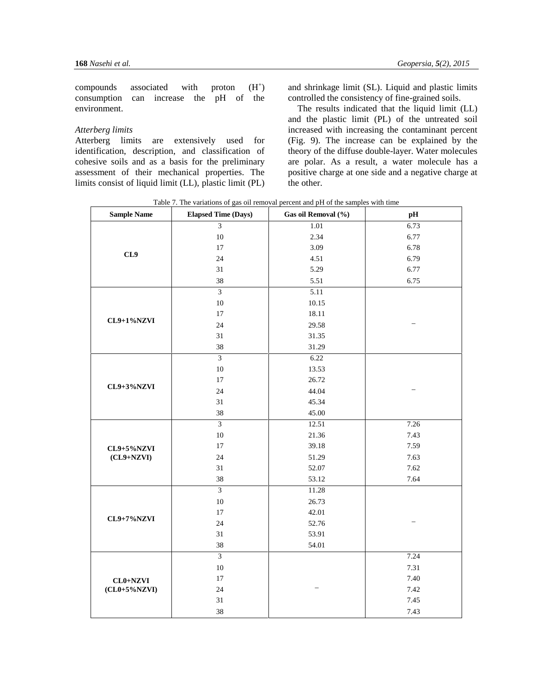compounds associated with proton  $(H^+)$ consumption can increase the pH of the environment.

# *Atterberg limits*

Atterberg limits are extensively used for identification, description, and classification of cohesive soils and as a basis for the preliminary assessment of their mechanical properties. The limits consist of liquid limit (LL), plastic limit (PL) and shrinkage limit (SL). Liquid and plastic limits controlled the consistency of fine-grained soils.

The results indicated that the liquid limit (LL) and the plastic limit (PL) of the untreated soil increased with increasing the contaminant percent (Fig. 9). The increase can be explained by the theory of the diffuse double-layer. Water molecules are polar. As a result, a water molecule has a positive charge at one side and a negative charge at the other.

Table 7. The variations of gas oil removal percent and pH of the samples with time

| <b>Sample Name</b> | <b>Elapsed Time (Days)</b> | Gas oil Removal (%) | pH   |
|--------------------|----------------------------|---------------------|------|
|                    | $\overline{3}$             | 1.01                | 6.73 |
|                    | 10                         | 2.34                | 6.77 |
|                    | 17                         | 3.09                | 6.78 |
| CL9                | 24                         | 4.51                | 6.79 |
|                    | 31                         | 5.29                | 6.77 |
|                    | 38                         | 5.51                | 6.75 |
|                    | $\overline{3}$             | 5.11                |      |
|                    | $10\,$                     | 10.15               |      |
|                    | 17                         | 18.11               |      |
| CL9+1%NZVI         | 24                         | 29.58               |      |
|                    | 31                         | 31.35               |      |
|                    | 38<br>31.29                |                     |      |
|                    | $\overline{3}$             | 6.22                |      |
|                    | $10\,$                     | 13.53               |      |
|                    | 17                         | 26.72               |      |
| CL9+3%NZVI         | 24                         | 44.04               |      |
|                    | 31                         | 45.34               |      |
|                    | 38                         | 45.00               |      |
|                    | $\overline{\mathbf{3}}$    | 12.51               | 7.26 |
|                    | $10\,$                     | 21.36               | 7.43 |
| CL9+5%NZVI         | 17                         | 39.18               | 7.59 |
| $(CL9+NZVI)$       | 24                         | 51.29               | 7.63 |
|                    | 31                         | 52.07               | 7.62 |
|                    | 38                         | 53.12               | 7.64 |
|                    | $\overline{\mathbf{3}}$    | 11.28               |      |
|                    | 10                         | 26.73               |      |
|                    | 17                         | 42.01               |      |
| CL9+7%NZVI         | $24\,$                     | 52.76               |      |
|                    | 31                         | 53.91               |      |
|                    | 38                         | 54.01               |      |
|                    | $\overline{3}$             |                     | 7.24 |
|                    | 10                         |                     | 7.31 |
| $CL0+NZVI$         | 17                         |                     | 7.40 |
| $(CL0+5\%NZVI)$    | 24                         |                     | 7.42 |
|                    | 31                         |                     | 7.45 |
|                    | 38                         |                     | 7.43 |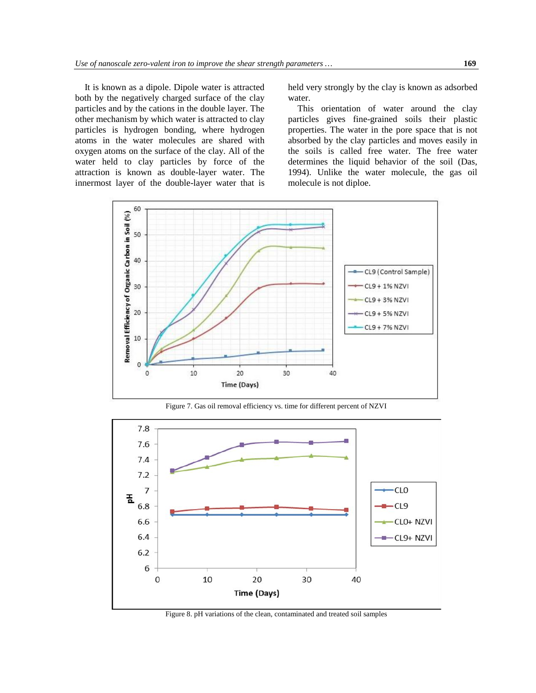It is known as a dipole. Dipole water is attracted both by the negatively charged surface of the clay particles and by the cations in the double layer. The other mechanism by which water is attracted to clay particles is hydrogen bonding, where hydrogen atoms in the water molecules are shared with oxygen atoms on the surface of the clay. All of the water held to clay particles by force of the attraction is known as double-layer water. The innermost layer of the double-layer water that is held very strongly by the clay is known as adsorbed water.

This orientation of water around the clay particles gives fine-grained soils their plastic properties. The water in the pore space that is not absorbed by the clay particles and moves easily in the soils is called free water. The free water determines the liquid behavior of the soil (Das, 1994). Unlike the water molecule, the gas oil molecule is not diploe.



Figure 7. Gas oil removal efficiency vs. time for different percent of NZVI



Figure 8. pH variations of the clean, contaminated and treated soil samples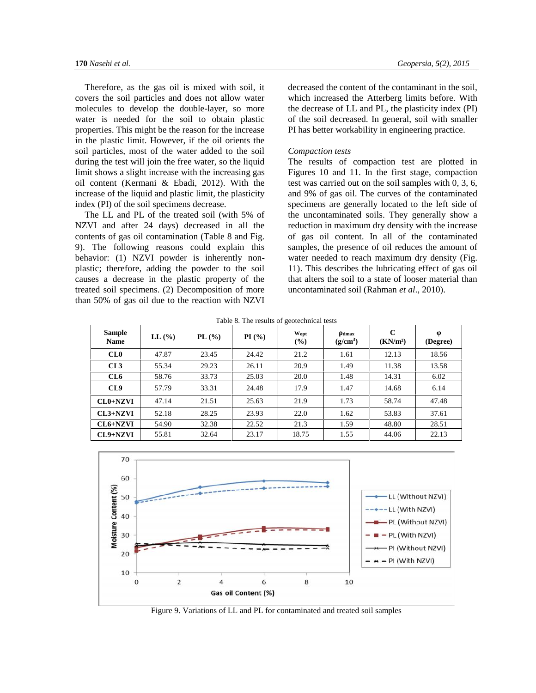Therefore, as the gas oil is mixed with soil, it covers the soil particles and does not allow water molecules to develop the double-layer, so more water is needed for the soil to obtain plastic properties. This might be the reason for the increase in the plastic limit. However, if the oil orients the soil particles, most of the water added to the soil during the test will join the free water, so the liquid limit shows a slight increase with the increasing gas oil content (Kermani & Ebadi, 2012). With the increase of the liquid and plastic limit, the plasticity index (PI) of the soil specimens decrease.

The LL and PL of the treated soil (with 5% of NZVI and after 24 days) decreased in all the contents of gas oil contamination (Table 8 and Fig. 9). The following reasons could explain this behavior: (1) NZVI powder is inherently non plastic; therefore, adding the powder to the soil causes a decrease in the plastic property of the treated soil specimens. (2) Decomposition of more than 50% of gas oil due to the reaction with NZVI decreased the content of the contaminant in the soil, which increased the Atterberg limits before. With the decrease of LL and PL, the plasticity index (PI) of the soil decreased. In general, soil with smaller PI has better workability in engineering practice.

#### *Compaction tests*

The results of compaction test are plotted in Figures 10 and 11. In the first stage, compaction test was carried out on the soil samples with 0, 3, 6, and 9% of gas oil. The curves of the contaminated specimens are generally located to the left side of the uncontaminated soils. They generally show a reduction in maximum dry density with the increase of gas oil content. In all of the contaminated samples, the presence of oil reduces the amount of water needed to reach maximum dry density (Fig. 11). This describes the lubricating effect of gas oil that alters the soil to a state of looser material than uncontaminated soil (Rahman *et al*., 2010).

Table 8. The results of geotechnical tests

| <b>Sample</b><br><b>Name</b> | $LL$ $\left(\frac{9}{6}\right)$ | PL(%) | PI(%) | Wopt<br>$($ %) | dmax<br>$(g/cm^3)$ | $\mathbf C$<br>(KN/m <sup>2</sup> ) | (Degree) |
|------------------------------|---------------------------------|-------|-------|----------------|--------------------|-------------------------------------|----------|
| CL0                          | 47.87                           | 23.45 | 24.42 | 21.2           | 1.61               | 12.13                               | 18.56    |
| CL3                          | 55.34                           | 29.23 | 26.11 | 20.9           | 1.49               | 11.38                               | 13.58    |
| CL6                          | 58.76                           | 33.73 | 25.03 | 20.0           | 1.48               | 14.31                               | 6.02     |
| CL9                          | 57.79                           | 33.31 | 24.48 | 17.9           | 1.47               | 14.68                               | 6.14     |
| $CL0+NZVI$                   | 47.14                           | 21.51 | 25.63 | 21.9           | 1.73               | 58.74                               | 47.48    |
| $CL3+NZVI$                   | 52.18                           | 28.25 | 23.93 | 22.0           | 1.62               | 53.83                               | 37.61    |
| $CL6+NZVI$                   | 54.90                           | 32.38 | 22.52 | 21.3           | 1.59               | 48.80                               | 28.51    |
| CL9+NZVI                     | 55.81                           | 32.64 | 23.17 | 18.75          | 1.55               | 44.06                               | 22.13    |



Figure 9. Variations of LL and PL for contaminated and treated soil samples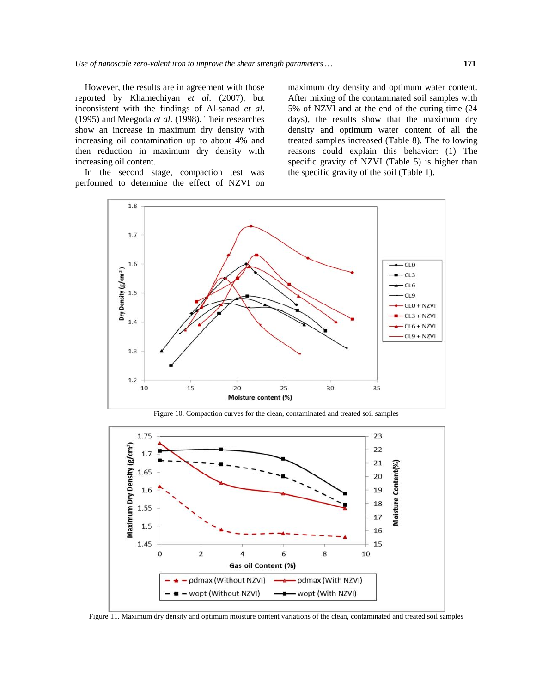However, the results are in agreement with those reported by Khamechiyan *et al*. (2007), but inconsistent with the findings of Al-sanad *et al*. (1995) and Meegoda *et al*. (1998). Their researches show an increase in maximum dry density with increasing oil contamination up to about 4% and then reduction in maximum dry density with increasing oil content.

In the second stage, compaction test was performed to determine the effect of NZVI on

maximum dry density and optimum water content. After mixing of the contaminated soil samples with 5% of NZVI and at the end of the curing time (24 days), the results show that the maximum dry density and optimum water content of all the treated samples increased (Table 8). The following reasons could explain this behavior: (1) The specific gravity of NZVI (Table 5) is higher than the specific gravity of the soil (Table 1).



Figure 10. Compaction curves for the clean, contaminated and treated soil samples



Figure 11. Maximum dry density and optimum moisture content variations of the clean, contaminated and treated soil samples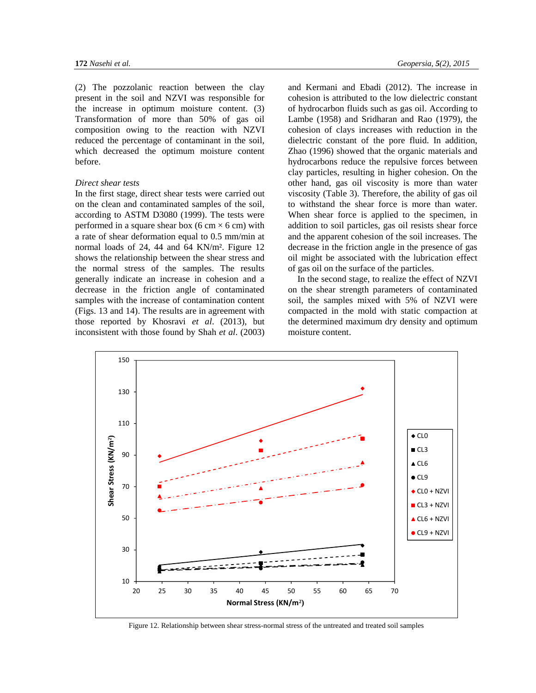(2) The pozzolanic reaction between the clay present in the soil and NZVI was responsible for the increase in optimum moisture content. (3) Transformation of more than 50% of gas oil composition owing to the reaction with NZVI reduced the percentage of contaminant in the soil, which decreased the optimum moisture content before.

# *Direct shear tests*

In the first stage, direct shear tests were carried out on the clean and contaminated samples of the soil, according to ASTM D3080 (1999). The tests were performed in a square shear box (6 cm  $\times$  6 cm) with a rate of shear deformation equal to 0.5 mm/min at normal loads of 24, 44 and 64 KN/m². Figure 12 shows the relationship between the shear stress and the normal stress of the samples. The results generally indicate an increase in cohesion and a decrease in the friction angle of contaminated samples with the increase of contamination content (Figs. 13 and 14). The results are in agreement with those reported by Khosravi *et al*. (2013), but inconsistent with those found by Shah *et al*. (2003) and Kermani and Ebadi (2012). The increase in cohesion is attributed to the low dielectric constant of hydrocarbon fluids such as gas oil. According to Lambe (1958) and Sridharan and Rao (1979), the cohesion of clays increases with reduction in the dielectric constant of the pore fluid. In addition, Zhao (1996) showed that the organic materials and hydrocarbons reduce the repulsive forces between clay particles, resulting in higher cohesion. On the other hand, gas oil viscosity is more than water viscosity (Table 3). Therefore, the ability of gas oil to withstand the shear force is more than water. When shear force is applied to the specimen, in addition to soil particles, gas oil resists shear force and the apparent cohesion of the soil increases. The decrease in the friction angle in the presence of gas oil might be associated with the lubrication effect of gas oil on the surface of the particles.

In the second stage, to realize the effect of NZVI on the shear strength parameters of contaminated soil, the samples mixed with 5% of NZVI were compacted in the mold with static compaction at the determined maximum dry density and optimum moisture content.



Figure 12. Relationship between shear stress-normal stress of the untreated and treated soil samples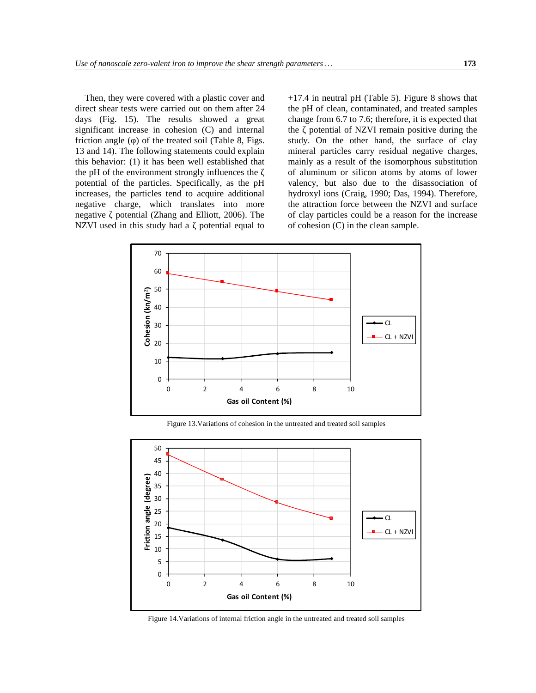Then, they were covered with a plastic cover and direct shear tests were carried out on them after 24 days (Fig. 15). The results showed a great significant increase in cohesion (C) and internal friction angle () of the treated soil (Table 8, Figs. 13 and 14). The following statements could explain this behavior: (1) it has been well established that the pH of the environment strongly influences the potential of the particles. Specifically, as the pH increases, the particles tend to acquire additional negative charge, which translates into more negative potential (Zhang and Elliott, 2006). The NZVI used in this study had a potential equal to +17.4 in neutral pH (Table 5). Figure 8 shows that the pH of clean, contaminated, and treated samples change from 6.7 to 7.6; therefore, it is expected that the potential of NZVI remain positive during the study. On the other hand, the surface of clay mineral particles carry residual negative charges, mainly as a result of the isomorphous substitution of aluminum or silicon atoms by atoms of lower valency, but also due to the disassociation of hydroxyl ions (Craig, 1990; Das, 1994). Therefore, the attraction force between the NZVI and surface of clay particles could be a reason for the increase of cohesion (C) in the clean sample.



Figure 13.Variations of cohesion in the untreated and treated soil samples



Figure 14.Variations of internal friction angle in the untreated and treated soil samples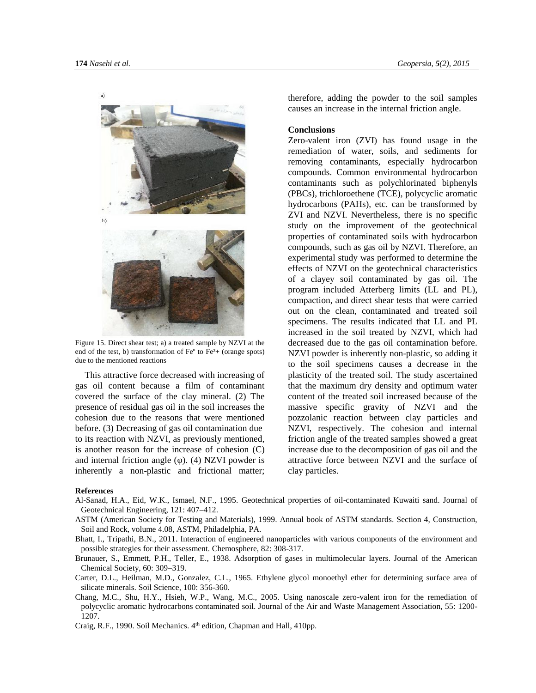

Figure 15. Direct shear test; a) a treated sample by NZVI at the end of the test, b) transformation of Feº to Fe²+ (orange spots) due to the mentioned reactions

This attractive force decreased with increasing of gas oil content because a film of contaminant covered the surface of the clay mineral. (2) The presence of residual gas oil in the soil increases the cohesion due to the reasons that were mentioned before. (3) Decreasing of gas oil contamination due to its reaction with NZVI, as previously mentioned, is another reason for the increase of cohesion (C) and internal friction angle ( ). (4) NZVI powder is inherently a non-plastic and frictional matter; therefore, adding the powder to the soil samples causes an increase in the internal friction angle.

# **Conclusions**

Zero-valent iron (ZVI) has found usage in the remediation of water, soils, and sediments for removing contaminants, especially hydrocarbon compounds. Common environmental hydrocarbon contaminants such as polychlorinated biphenyls (PBCs), trichloroethene (TCE), polycyclic aromatic hydrocarbons (PAHs), etc. can be transformed by ZVI and NZVI. Nevertheless, there is no specific study on the improvement of the geotechnical properties of contaminated soils with hydrocarbon compounds, such as gas oil by NZVI. Therefore, an experimental study was performed to determine the effects of NZVI on the geotechnical characteristics of a clayey soil contaminated by gas oil. The program included Atterberg limits (LL and PL), compaction, and direct shear tests that were carried out on the clean, contaminated and treated soil specimens. The results indicated that LL and PL increased in the soil treated by NZVI, which had decreased due to the gas oil contamination before. NZVI powder is inherently non-plastic, so adding it to the soil specimens causes a decrease in the plasticity of the treated soil. The study ascertained that the maximum dry density and optimum water content of the treated soil increased because of the massive specific gravity of NZVI and the pozzolanic reaction between clay particles and NZVI, respectively. The cohesion and internal friction angle of the treated samples showed a great increase due to the decomposition of gas oil and the attractive force between NZVI and the surface of clay particles.

#### **References**

- Al-Sanad, H.A., Eid, W.K., Ismael, N.F., 1995. Geotechnical properties of oil-contaminated Kuwaiti sand. Journal of Geotechnical Engineering, 121: 407–412.
- ASTM (American Society for Testing and Materials), 1999. Annual book of ASTM standards. Section 4, Construction, Soil and Rock, volume 4.08, ASTM, Philadelphia, PA.
- Bhatt, I., Tripathi, B.N., 2011. Interaction of engineered nanoparticles with various components of the environment and possible strategies for their assessment. Chemosphere, 82: 308-317.
- Brunauer, S., Emmett, P.H., Teller, E., 1938. Adsorption of gases in multimolecular layers. Journal of the American Chemical Society, 60: 309–319.
- Carter, D.L., Heilman, M.D., Gonzalez, C.L., 1965. Ethylene glycol monoethyl ether for determining surface area of silicate minerals. Soil Science, 100: 356-360.
- Chang, M.C., Shu, H.Y., Hsieh, W.P., Wang, M.C., 2005. Using nanoscale zero-valent iron for the remediation of polycyclic aromatic hydrocarbons contaminated soil. Journal of the Air and Waste Management Association, 55: 1200- 1207.
- Craig, R.F., 1990. Soil Mechanics. 4<sup>th</sup> edition, Chapman and Hall, 410pp.